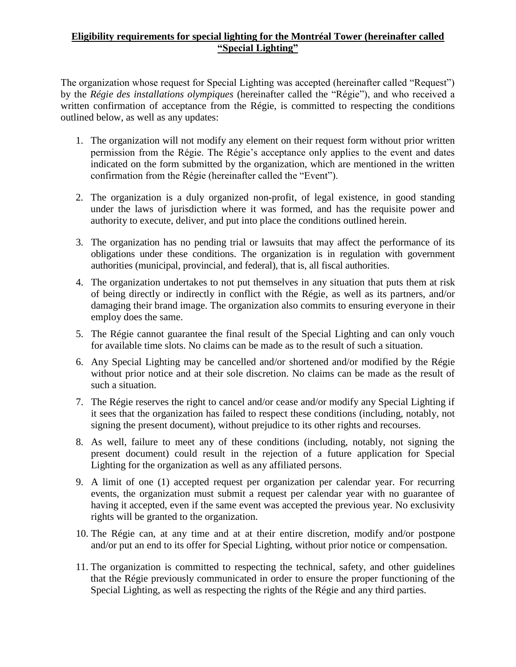## **Eligibility requirements for special lighting for the Montréal Tower (hereinafter called "Special Lighting"**

The organization whose request for Special Lighting was accepted (hereinafter called "Request") by the *Régie des installations olympiques* (hereinafter called the "Régie"), and who received a written confirmation of acceptance from the Régie, is committed to respecting the conditions outlined below, as well as any updates:

- 1. The organization will not modify any element on their request form without prior written permission from the Régie. The Régie's acceptance only applies to the event and dates indicated on the form submitted by the organization, which are mentioned in the written confirmation from the Régie (hereinafter called the "Event").
- 2. The organization is a duly organized non-profit, of legal existence, in good standing under the laws of jurisdiction where it was formed, and has the requisite power and authority to execute, deliver, and put into place the conditions outlined herein.
- 3. The organization has no pending trial or lawsuits that may affect the performance of its obligations under these conditions. The organization is in regulation with government authorities (municipal, provincial, and federal), that is, all fiscal authorities.
- 4. The organization undertakes to not put themselves in any situation that puts them at risk of being directly or indirectly in conflict with the Régie, as well as its partners, and/or damaging their brand image. The organization also commits to ensuring everyone in their employ does the same.
- 5. The Régie cannot guarantee the final result of the Special Lighting and can only vouch for available time slots. No claims can be made as to the result of such a situation.
- 6. Any Special Lighting may be cancelled and/or shortened and/or modified by the Régie without prior notice and at their sole discretion. No claims can be made as the result of such a situation.
- 7. The Régie reserves the right to cancel and/or cease and/or modify any Special Lighting if it sees that the organization has failed to respect these conditions (including, notably, not signing the present document), without prejudice to its other rights and recourses.
- 8. As well, failure to meet any of these conditions (including, notably, not signing the present document) could result in the rejection of a future application for Special Lighting for the organization as well as any affiliated persons.
- 9. A limit of one (1) accepted request per organization per calendar year. For recurring events, the organization must submit a request per calendar year with no guarantee of having it accepted, even if the same event was accepted the previous year. No exclusivity rights will be granted to the organization.
- 10. The Régie can, at any time and at at their entire discretion, modify and/or postpone and/or put an end to its offer for Special Lighting, without prior notice or compensation.
- 11. The organization is committed to respecting the technical, safety, and other guidelines that the Régie previously communicated in order to ensure the proper functioning of the Special Lighting, as well as respecting the rights of the Régie and any third parties.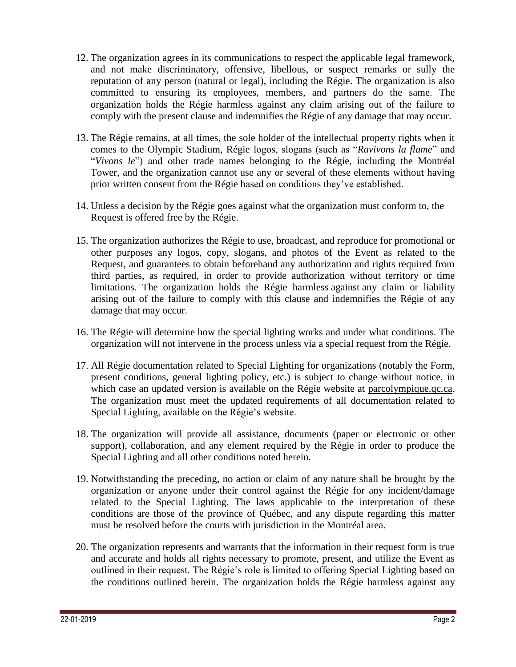- 12. The organization agrees in its communications to respect the applicable legal framework, and not make discriminatory, offensive, libellous, or suspect remarks or sully the reputation of any person (natural or legal), including the Régie. The organization is also committed to ensuring its employees, members, and partners do the same. The organization holds the Régie harmless against any claim arising out of the failure to comply with the present clause and indemnifies the Régie of any damage that may occur.
- 13. The Régie remains, at all times, the sole holder of the intellectual property rights when it comes to the Olympic Stadium, Régie logos, slogans (such as "*Ravivons la flame*" and "*Vivons le*") and other trade names belonging to the Régie, including the Montréal Tower, and the organization cannot use any or several of these elements without having prior written consent from the Régie based on conditions they've established.
- 14. Unless a decision by the Régie goes against what the organization must conform to, the Request is offered free by the Régie.
- 15. The organization authorizes the Régie to use, broadcast, and reproduce for promotional or other purposes any logos, copy, slogans, and photos of the Event as related to the Request, and guarantees to obtain beforehand any authorization and rights required from third parties, as required, in order to provide authorization without territory or time limitations. The organization holds the Régie harmless against any claim or liability arising out of the failure to comply with this clause and indemnifies the Régie of any damage that may occur.
- 16. The Régie will determine how the special lighting works and under what conditions. The organization will not intervene in the process unless via a special request from the Régie.
- 17. All Régie documentation related to Special Lighting for organizations (notably the Form, present conditions, general lighting policy, etc.) is subject to change without notice, in which case an updated version is available on the Régie website at [parcolympique.qc.ca.](http://www.parcolympique.qc.ca/) The organization must meet the updated requirements of all documentation related to Special Lighting, available on the Régie's website.
- 18. The organization will provide all assistance, documents (paper or electronic or other support), collaboration, and any element required by the Régie in order to produce the Special Lighting and all other conditions noted herein.
- 19. Notwithstanding the preceding, no action or claim of any nature shall be brought by the organization or anyone under their control against the Régie for any incident/damage related to the Special Lighting. The laws applicable to the interpretation of these conditions are those of the province of Québec, and any dispute regarding this matter must be resolved before the courts with jurisdiction in the Montréal area.
- 20. The organization represents and warrants that the information in their request form is true and accurate and holds all rights necessary to promote, present, and utilize the Event as outlined in their request. The Régie's role is limited to offering Special Lighting based on the conditions outlined herein. The organization holds the Régie harmless against any